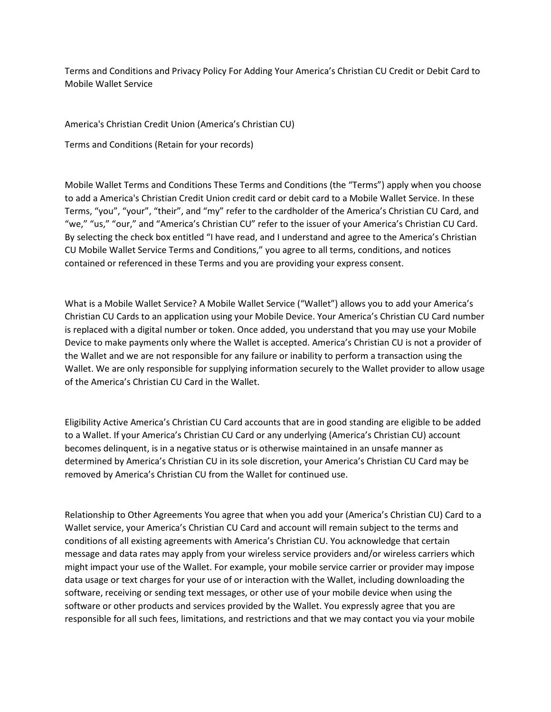Terms and Conditions and Privacy Policy For Adding Your America's Christian CU Credit or Debit Card to Mobile Wallet Service

America's Christian Credit Union (America's Christian CU)

Terms and Conditions (Retain for your records)

Mobile Wallet Terms and Conditions These Terms and Conditions (the "Terms") apply when you choose to add a America's Christian Credit Union credit card or debit card to a Mobile Wallet Service. In these Terms, "you", "your", "their", and "my" refer to the cardholder of the America's Christian CU Card, and "we," "us," "our," and "America's Christian CU" refer to the issuer of your America's Christian CU Card. By selecting the check box entitled "I have read, and I understand and agree to the America's Christian CU Mobile Wallet Service Terms and Conditions," you agree to all terms, conditions, and notices contained or referenced in these Terms and you are providing your express consent.

What is a Mobile Wallet Service? A Mobile Wallet Service ("Wallet") allows you to add your America's Christian CU Cards to an application using your Mobile Device. Your America's Christian CU Card number is replaced with a digital number or token. Once added, you understand that you may use your Mobile Device to make payments only where the Wallet is accepted. America's Christian CU is not a provider of the Wallet and we are not responsible for any failure or inability to perform a transaction using the Wallet. We are only responsible for supplying information securely to the Wallet provider to allow usage of the America's Christian CU Card in the Wallet.

Eligibility Active America's Christian CU Card accounts that are in good standing are eligible to be added to a Wallet. If your America's Christian CU Card or any underlying (America's Christian CU) account becomes delinquent, is in a negative status or is otherwise maintained in an unsafe manner as determined by America's Christian CU in its sole discretion, your America's Christian CU Card may be removed by America's Christian CU from the Wallet for continued use.

Relationship to Other Agreements You agree that when you add your (America's Christian CU) Card to a Wallet service, your America's Christian CU Card and account will remain subject to the terms and conditions of all existing agreements with America's Christian CU. You acknowledge that certain message and data rates may apply from your wireless service providers and/or wireless carriers which might impact your use of the Wallet. For example, your mobile service carrier or provider may impose data usage or text charges for your use of or interaction with the Wallet, including downloading the software, receiving or sending text messages, or other use of your mobile device when using the software or other products and services provided by the Wallet. You expressly agree that you are responsible for all such fees, limitations, and restrictions and that we may contact you via your mobile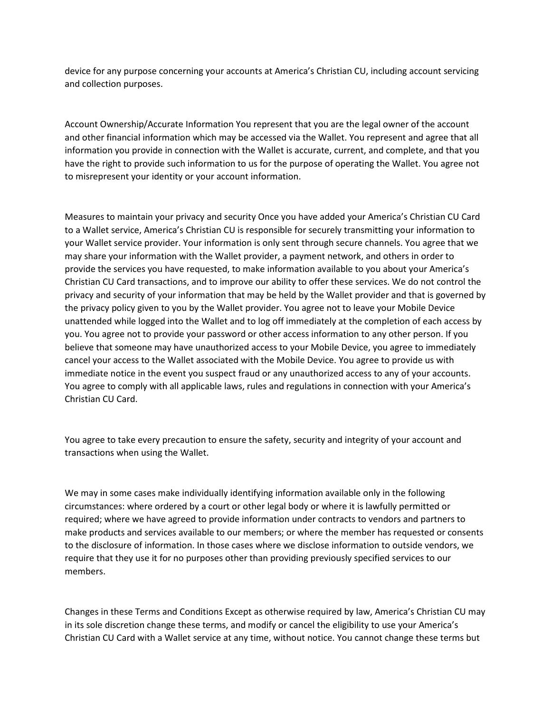device for any purpose concerning your accounts at America's Christian CU, including account servicing and collection purposes.

Account Ownership/Accurate Information You represent that you are the legal owner of the account and other financial information which may be accessed via the Wallet. You represent and agree that all information you provide in connection with the Wallet is accurate, current, and complete, and that you have the right to provide such information to us for the purpose of operating the Wallet. You agree not to misrepresent your identity or your account information.

Measures to maintain your privacy and security Once you have added your America's Christian CU Card to a Wallet service, America's Christian CU is responsible for securely transmitting your information to your Wallet service provider. Your information is only sent through secure channels. You agree that we may share your information with the Wallet provider, a payment network, and others in order to provide the services you have requested, to make information available to you about your America's Christian CU Card transactions, and to improve our ability to offer these services. We do not control the privacy and security of your information that may be held by the Wallet provider and that is governed by the privacy policy given to you by the Wallet provider. You agree not to leave your Mobile Device unattended while logged into the Wallet and to log off immediately at the completion of each access by you. You agree not to provide your password or other access information to any other person. If you believe that someone may have unauthorized access to your Mobile Device, you agree to immediately cancel your access to the Wallet associated with the Mobile Device. You agree to provide us with immediate notice in the event you suspect fraud or any unauthorized access to any of your accounts. You agree to comply with all applicable laws, rules and regulations in connection with your America's Christian CU Card.

You agree to take every precaution to ensure the safety, security and integrity of your account and transactions when using the Wallet.

We may in some cases make individually identifying information available only in the following circumstances: where ordered by a court or other legal body or where it is lawfully permitted or required; where we have agreed to provide information under contracts to vendors and partners to make products and services available to our members; or where the member has requested or consents to the disclosure of information. In those cases where we disclose information to outside vendors, we require that they use it for no purposes other than providing previously specified services to our members.

Changes in these Terms and Conditions Except as otherwise required by law, America's Christian CU may in its sole discretion change these terms, and modify or cancel the eligibility to use your America's Christian CU Card with a Wallet service at any time, without notice. You cannot change these terms but